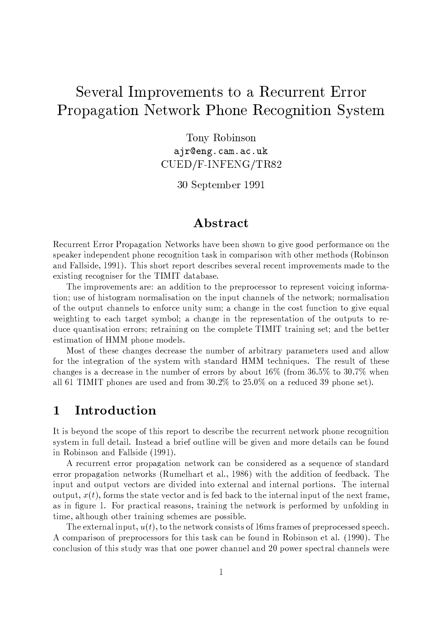# Several Improvements to a Recurrent Error Propagation Network Phone Recognition System

Tony Robinson ajr@eng.cam.ac.uk  $CUED/F-INFENG/TR82$ 

30 September 1991

### Abstract

Recurrent Error Propagation Networks have been shown to give good performance on the speaker independent phone recognition task in comparison with other methods (Robinson and Fallside, 1991). This short report describes several recent improvements made to the existing recogniser for the TIMIT database.

The improvements are: an addition to the preprocessor to represent voicing information; use of histogram normalisation on the input channels of the network; normalisation of the output channels to enforce unity sum; a change in the cost function to give equal weighting to each target symbol; a change in the representation of the outputs to reduce quantisation errors; retraining on the complete TIMIT training set; and the better estimation of HMM phone models.

Most of these changes decrease the number of arbitrary parameters used and allow for the integration of the system with standard HMM techniques. The result of these changes is a decrease in the number of errors by about  $16\%$  (from  $36.5\%$  to  $30.7\%$  when all 61 TIMIT phones are used and from  $30.2\%$  to  $25.0\%$  on a reduced 39 phone set).

#### Introduction  $\mathbf 1$

It is beyond the scope of this report to describe the recurrent network phone recognition system in full detail. Instead a brief outline will be given and more details can be found in Robinson and Fallside (1991).

A recurrent error propagation network can be considered as a sequence of standard error propagation networks (Rumelhart et al., 1986) with the addition of feedback. The input and output vectors are divided into external and internal portions. The internal output,  $x(t)$ , forms the state vector and is fed back to the internal input of the next frame, as in figure 1. For practical reasons, training the network is performed by unfolding in time, although other training schemes are possible.

The external input,  $u(t)$ , to the network consists of 16ms frames of preprocessed speech. A comparison of preprocessors for this task can be found in Robinson et al. (1990). The conclusion of this study was that one power channel and 20 power spectral channels were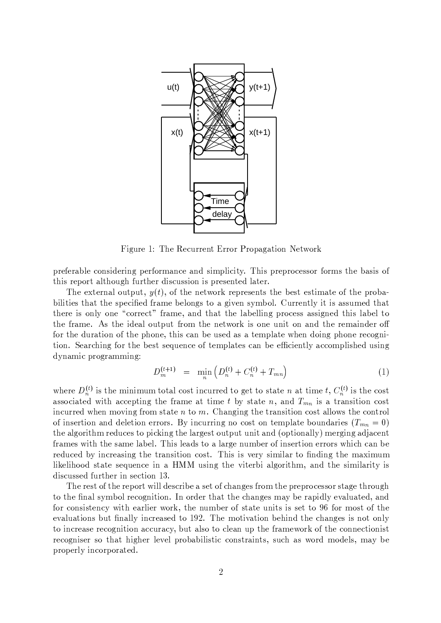

Figure 1: The Recurrent Error Propagation Network

preferable considering performance and simplicity. This preprocessor forms the basis of this report although further discussion is presented later.

The external output,  $y(t)$ , of the network represents the best estimate of the probabilities that the specified frame belongs to a given symbol. Currently it is assumed that there is only one "correct" frame, and that the labelling process assigned this label to the frame. As the ideal output from the network is one unit on and the remainder off for the duration of the phone, this can be used as a template when doing phone recognition. Searching for the best sequence of templates can be efficiently accomplished using dynamic programming:

$$
D_m^{(t+1)} = \min_n \left( D_n^{(t)} + C_n^{(t)} + T_{mn} \right) \tag{1}
$$

where  $D_n^{(t)}$  is the minimum total cost incurred to get to state *n* at time *t*,  $C_n^{(t)}$  is the cost associated with accepting the frame at time t by state n, and  $T_{mn}$  is a transition cost incurred when moving from state  $n$  to  $m$ . Changing the transition cost allows the control of insertion and deletion errors. By incurring no cost on template boundaries  $(T_{mn} = 0)$ the algorithm reduces to picking the largest output unit and (optionally) merging adjacent frames with the same label. This leads to a large number of insertion errors which can be reduced by increasing the transition cost. This is very similar to finding the maximum likelihood state sequence in a HMM using the viterbi algorithm, and the similarity is discussed further in section 13.

The rest of the report will describe a set of changes from the preprocessor stage through to the final symbol recognition. In order that the changes may be rapidly evaluated, and for consistency with earlier work, the number of state units is set to 96 for most of the evaluations but finally increased to 192. The motivation behind the changes is not only to increase recognition accuracy, but also to clean up the framework of the connectionist recogniser so that higher level probabilistic constraints, such as word models, may be properly incorporated.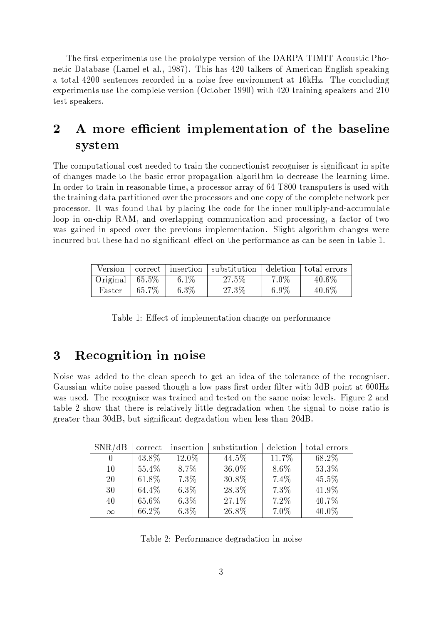The first experiments use the prototype version of the DARPA TIMIT Acoustic Phonetic Database (Lamel et al., 1987). This has 420 talkers of American English speaking a total 4200 sentences recorded in a noise free environment at 16kHz. The concluding experiments use the complete version (October 1990) with 420 training speakers and 210 test speakers.

#### $\overline{2}$ A more efficient implementation of the baseline system

The computational cost needed to train the connection is recogniser is significant in spite of changes made to the basic error propagation algorithm to decrease the learning time. In order to train in reasonable time, a processor array of 64 T800 transputers is used with the training data partitioned over the processors and one copy of the complete network per processor. It was found that by placing the code for the inner multiply-and-accumulate loop in on-chip RAM, and overlapping communication and processing, a factor of two was gained in speed over the previous implementation. Slight algorithm changes were incurred but these had no significant effect on the performance as can be seen in table 1.

| Version                          |       |         | correct   insertion   substitution   deletion   total errors |         |          |
|----------------------------------|-------|---------|--------------------------------------------------------------|---------|----------|
| Original $\left  65.5\% \right $ |       | $6.1\%$ | 27.5%                                                        | 7.0%    | $40.6\%$ |
| Faster                           | 65.7% | $6.3\%$ | 27.3%                                                        | $6.9\%$ | 40.6%    |

Table 1: Effect of implementation change on performance

#### 3 Recognition in noise

Noise was added to the clean speech to get an idea of the tolerance of the recogniser. Gaussian white noise passed though a low pass first order filter with 3dB point at 600Hz was used. The recogniser was trained and tested on the same noise levels. Figure 2 and table 2 show that there is relatively little degradation when the signal to noise ratio is greater than 30dB, but significant degradation when less than 20dB.

| SNR/dB   | correct  | insertion | substitution | deletion | total errors |
|----------|----------|-----------|--------------|----------|--------------|
| 0        | 43.8%    | 12.0%     | 44.5%        | 11.7%    | 68.2\%       |
| 10       | 55.4%    | 8.7\%     | 36.0%        | 8.6%     | 53.3%        |
| 20       | 61.8%    | $7.3\%$   | 30.8%        | 7.4%     | $45.5\%$     |
| 30       | 64.4%    | $6.3\%$   | 28.3%        | 7.3%     | 41.9%        |
| 40       | $65.6\%$ | $6.3\%$   | 27.1\%       | 7.2%     | 40.7%        |
| $\infty$ | 66.2%    | $6.3\%$   | 26.8%        | 7.0%     | 40.0%        |

Table 2: Performance degradation in noise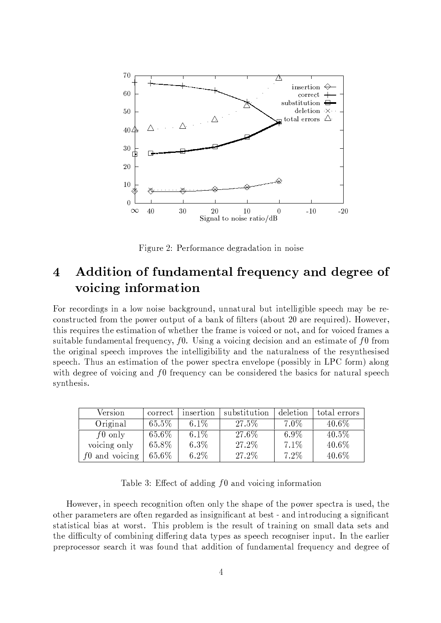

Figure 2: Performance degradation in noise

#### Addition of fundamental frequency and degree of  $\overline{4}$ voicing information

For recordings in a low noise background, unnatural but intelligible speech may be reconstructed from the power output of a bank of filters (about 20 are required). However, this requires the estimation of whether the frame is voiced or not, and for voiced frames a suitable fundamental frequency,  $f0$ . Using a voicing decision and an estimate of  $f0$  from the original speech improves the intelligibility and the naturalness of the resynthesised speech. Thus an estimation of the power spectra envelope (possibly in LPC form) along with degree of voicing and f0 frequency can be considered the basics for natural speech synthesis.

| Version          | correct  | insertion | substitution | deletion | total errors |
|------------------|----------|-----------|--------------|----------|--------------|
| Original         | $65.5\%$ | $6.1\%$   | 27.5%        | $7.0\%$  | $40.6\%$     |
| $f0$ only        | 65.6%    | $6.1\%$   | 27.6%        | $6.9\%$  | 40.5%        |
| voicing only     | 65.8%    | $6.3\%$   | 27.2%        | 7.1%     | 40.6%        |
| $f0$ and voicing | $65.6\%$ | $6.2\%$   | 27.2%        | 7.2%     | 40.6%        |

Table 3: Effect of adding  $f_0$  and voicing information

However, in speech recognition often only the shape of the power spectra is used, the other parameters are often regarded as insignificant at best - and introducing a significant statistical bias at worst. This problem is the result of training on small data sets and the difficulty of combining differing data types as speech recogniser input. In the earlier preprocessor search it was found that addition of fundamental frequency and degree of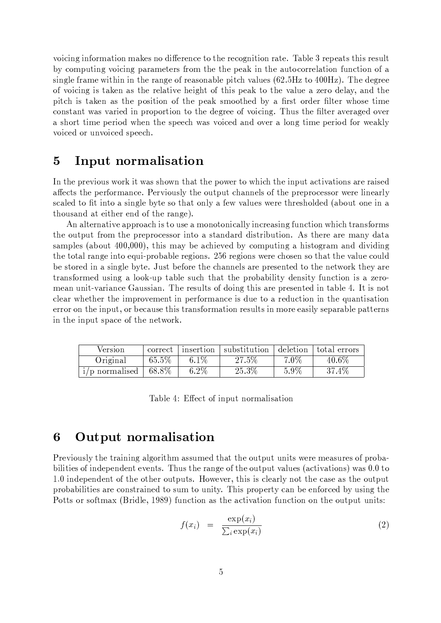voicing information makes no difference to the recognition rate. Table 3 repeats this result by computing voicing parameters from the the peak in the autocorrelation function of a single frame within in the range of reasonable pitch values  $(62.5Hz)$  to  $400Hz$ ). The degree of voicing is taken as the relative height of this peak to the value a zero delay, and the pitch is taken as the position of the peak smoothed by a first order filter whose time constant was varied in proportion to the degree of voicing. Thus the filter averaged over a short time period when the speech was voiced and over a long time period for weakly voiced or unvoiced speech.

#### Input normalisation  $\overline{5}$

In the previous work it was shown that the power to which the input activations are raised affects the performance. Perviously the output channels of the preprocessor were linearly scaled to fit into a single byte so that only a few values were thresholded (about one in a thousand at either end of the range).

An alternative approach is to use a monotonically increasing function which transforms the output from the preprocessor into a standard distribution. As there are many data samples (about 400,000), this may be achieved by computing a histogram and dividing the total range into equi-probable regions. 256 regions were chosen so that the value could be stored in a single byte. Just before the channels are presented to the network they are transformed using a look-up table such that the probability density function is a zeromean unit-variance Gaussian. The results of doing this are presented in table 4. It is not clear whether the improvement in performance is due to a reduction in the quantisation error on the input, or because this transformation results in more easily separable patterns in the input space of the network.

| Version          | correct | insertion | substitution | deletion | total errors |
|------------------|---------|-----------|--------------|----------|--------------|
| Original         | 65.5%   | $6.1\%$   | 27.5%        | 7.0%     | 40.6%        |
| $i/p$ normalised | 68.8%   | $6.2\%$   | 25.3%        | 5.9%     | 37.4%        |

| Table 4: Effect of input normalisation |  |  |  |  |  |
|----------------------------------------|--|--|--|--|--|
|----------------------------------------|--|--|--|--|--|

#### Output normalisation 6

Previously the training algorithm assumed that the output units were measures of probabilities of independent events. Thus the range of the output values (activations) was 0.0 to 1.0 independent of the other outputs. However, this is clearly not the case as the output probabilities are constrained to sum to unity. This property can be enforced by using the Potts or softmax (Bridle, 1989) function as the activation function on the output units:

$$
f(x_i) = \frac{\exp(x_i)}{\sum_i \exp(x_i)}
$$
\n(2)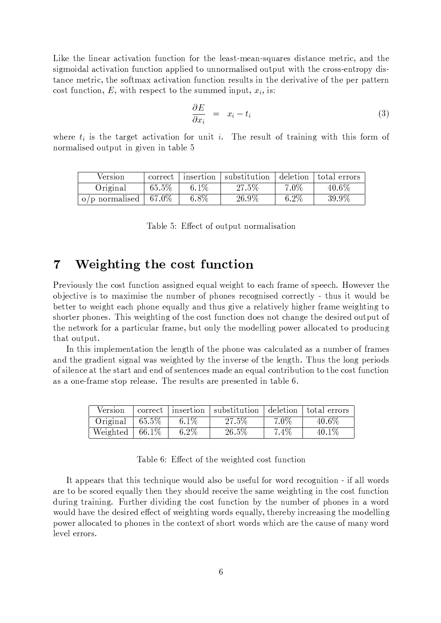Like the linear activation function for the least-mean-squares distance metric, and the sigmoidal activation function applied to unnormalised output with the cross-entropy distance metric, the softmax activation function results in the derivative of the per pattern cost function,  $E$ , with respect to the summed input,  $x_i$ , is:

$$
\frac{\partial E}{\partial x_i} = x_i - t_i \tag{3}
$$

where  $t_i$  is the target activation for unit i. The result of training with this form of normalised output in given in table 5

| Version.       | correct | insertion | substitution | deletion | total errors |
|----------------|---------|-----------|--------------|----------|--------------|
| Original       | 65.5%   | $6.1\%$   | 27.5%        | 7.0%     | 40.6%        |
| o/p normalised | 67.0%   | $6.8\%$   | 26.9%        | $6.2\%$  | 39.9%        |

| Table 5: Effect of output normalisation |  |
|-----------------------------------------|--|
|-----------------------------------------|--|

#### $\overline{7}$ Weighting the cost function

Previously the cost function assigned equal weight to each frame of speech. However the objective is to maximise the number of phones recognised correctly - thus it would be better to weight each phone equally and thus give a relatively higher frame weighting to shorter phones. This weighting of the cost function does not change the desired output of the network for a particular frame, but only the modelling power allocated to producing that output.

In this implementation the length of the phone was calculated as a number of frames and the gradient signal was weighted by the inverse of the length. Thus the long periods of silence at the start and end of sentences made an equal contribution to the cost function as a one-frame stop release. The results are presented in table 6.

| Version           | correct insertion | substitution |         | deletion total errors |
|-------------------|-------------------|--------------|---------|-----------------------|
|                   | $6.1\%$           | 27.5%        | $7.0\%$ | $40.6\%$              |
| Weighted $66.1\%$ | $6.2\%$           | 26.5%        | 7.4%    | $40.1\%$              |

It appears that this technique would also be useful for word recognition - if all words are to be scored equally then they should receive the same weighting in the cost function during training. Further dividing the cost function by the number of phones in a word would have the desired effect of weighting words equally, thereby increasing the modelling power allocated to phones in the context of short words which are the cause of many word level errors.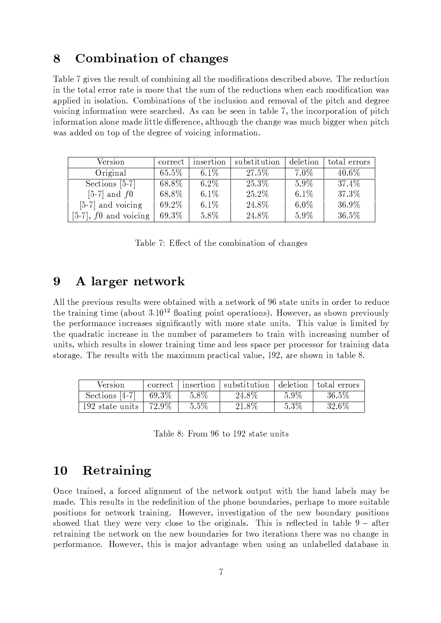## 8 Combination of changes

Table 7 gives the result of combining all the modifications described above. The reduction in the total error rate is more that the sum of the reductions when each modification was applied in isolation. Combinations of the inclusion and removal of the pitch and degree voicing information were searched. As can be seen in table 7, the incorporation of pitch information alone made little difference, although the change was much bigger when pitch was added on top of the degree of voicing information.

| Version                  | correct  | insertion | substitution | deletion | total errors |
|--------------------------|----------|-----------|--------------|----------|--------------|
| Original                 | $65.5\%$ | $6.1\%$   | 27.5%        | $7.0\%$  | 40.6\%       |
| Sections [5-7]           | 68.8%    | $6.2\%$   | $25.3\%$     | $5.9\%$  | 37.4%        |
| $[5-7]$ and $f0$         | 68.8%    | $6.1\%$   | $25.2\%$     | $6.1\%$  | 37.3%        |
| $[5-7]$ and voicing      | 69.2%    | $6.1\%$   | 24.8%        | $6.0\%$  | 36.9%        |
| $[5-7]$ , f0 and voicing | 69.3%    | 5.8%      | 24.8%        | 5.9%     | 36.5%        |

|  |  |  | Table 7: Effect of the combination of changes |  |  |  |
|--|--|--|-----------------------------------------------|--|--|--|
|--|--|--|-----------------------------------------------|--|--|--|

### 9 A larger network

the training time (about  $3.10^{12}$  floating point operations). However, as shown previously All the previous results were obtained with a network of 96 state units in order to reduce the performance increases significantly with more state units. This value is limited by the quadratic increase in the number of parameters to train with increasing number of units, which results in slower training time and less space per processor for training data storage. The results with the maximum practical value,  $192$ , are shown in table 8.

| Version                 | correct | insertion | substitution | deletion | total errors |
|-------------------------|---------|-----------|--------------|----------|--------------|
| Sections $[4-7]$        | 69.3%   | 5.8%      | 24.8%        | $5.9\%$  | 36.5%        |
| 192 state units $\vert$ | 72.9%   | $5.5\%$   | 21.8%        | 5.3%     | 32.6%        |

R+Kg5\_TJ 8N|{
 `M\*N.&<
B a
Q&

### 10 Retraining

Once trained, a forced alignment of the network output with the hand labels may be made. This results in the redefinition of the phone boundaries, perhaps to more suitable positions for network training. However, investigation of the new boundary positions showed that they were very close to the originals. This is reflected in table 9 – after retraining the network on the new boundaries for two iterations there was no change in performance. However, this is major advantage when using an unlabelled database in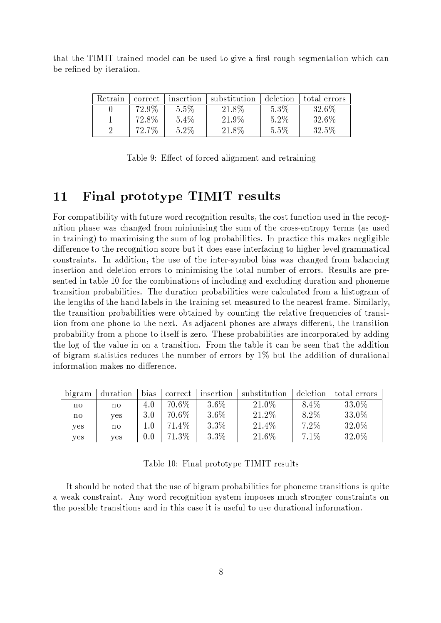that the TIMIT trained model can be used to give a first rough segmentation which can be refined by iteration.

| Retrain |          | correct   insertion | substitution | deletion | total errors |
|---------|----------|---------------------|--------------|----------|--------------|
|         | $72.9\%$ | $5.5\%$             | 21.8%        | $5.3\%$  | 32.6\%       |
|         | 72.8%    | 5.4%                | 21.9%        | $5.2\%$  | 32.6%        |
| 9       | 72.7%    | $5.2\%$             | 21.8%        | $5.5\%$  | 32.5%        |

Table 9: Effect of forced alignment and retraining

#### Final prototype TIMIT results 11

For compatibility with future word recognition results, the cost function used in the recognition phase was changed from minimising the sum of the cross-entropy terms (as used in training) to maximising the sum of log probabilities. In practice this makes negligible difference to the recognition score but it does ease interfacing to higher level grammatical constraints. In addition, the use of the inter-symbol bias was changed from balancing insertion and deletion errors to minimising the total number of errors. Results are presented in table 10 for the combinations of including and excluding duration and phoneme transition probabilities. The duration probabilities were calculated from a histogram of the lengths of the hand labels in the training set measured to the nearest frame. Similarly, the transition probabilities were obtained by counting the relative frequencies of transition from one phone to the next. As adjacent phones are always different, the transition probability from a phone to itself is zero. These probabilities are incorporated by adding the log of the value in on a transition. From the table it can be seen that the addition of bigram statistics reduces the number of errors by  $1\%$  but the addition of durational information makes no difference.

| bigram                 | duration | bias | correct  | insertion | substitution | deletion | total errors |
|------------------------|----------|------|----------|-----------|--------------|----------|--------------|
| $\mathbf{n}\mathbf{o}$ | no.      | 4.0  | $70.6\%$ | $3.6\%$   | 21.0%        | 8.4\%    | $33.0\%$     |
| $\mathbf{n}\mathbf{o}$ | ves      | 3.0  | 70.6%    | $3.6\%$   | 21.2%        | 8.2%     | 33.0%        |
| ves                    | no.      |      | 71.4%    | $3.3\%$   | 21.4%        | 7.2%     | 32.0%        |
| ves                    | ves      | 0.0  | 71.3%    | 3.3%      | 21.6%        | $7.1\%$  | 32.0%        |

Table 10: Final prototype TIMIT results

It should be noted that the use of bigram probabilities for phoneme transitions is quite a weak constraint. Any word recognition system imposes much stronger constraints on the possible transitions and in this case it is useful to use durational information.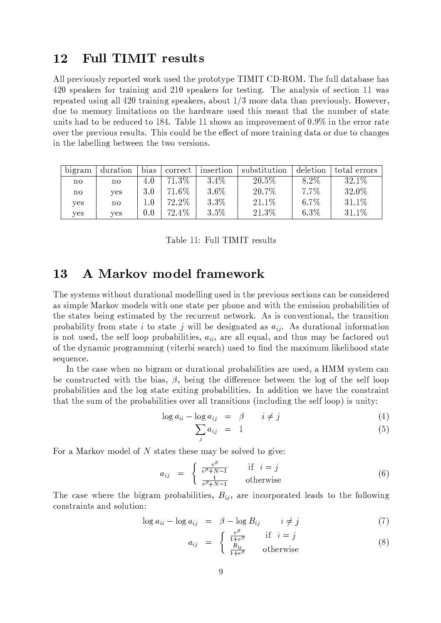### À À QUE L'ANN DE L'ANN DE L'ANN DE L'ANN DE L'ANN DE L'ANN DE L'ANN DE L'ANN DE L'ANN DE L'ANN DE L'ANN DE L'A

All previously reported work used the prototype TIMIT CD-ROM. The full database has 420 speakers for training and 210 speakers for testing. The analysis of section 11 was repeated using all 420 training speakers, about  $1/3$  more data than previously. However, due to memory limitations on the hardware used this meant that the number of state units had to be reduced to 184. Table 11 shows an improvement of  $0.9\%$  in the error rate over the previous results. This could be the effect of more training data or due to changes in the labelling between the two versions.

| bigram | duration | bias | correct  | insertion | substitution | deletion | total errors |
|--------|----------|------|----------|-----------|--------------|----------|--------------|
| no     | no       | 4.0  | $71.3\%$ | $3.4\%$   | 20.5\%       | $8.2\%$  | $32.1\%$     |
| no     | ves      | 3.0  | 71.6%    | $3.6\%$   | 20.7%        | 7.7%     | 32.0%        |
| ves    | no       | 0.1  | 72.2%    | $3.3\%$   | $21.1\%$     | 6.7%     | $31.1\%$     |
| ves    | ves      | 0.0  | 72.4\%   | $3.5\%$   | $21.3\%$     | $6.3\%$  | 31.1%        |

 $\mathbb{R}^n$  , and  $\mathbb{R}^n$  is replaced to the set of  $\mathbb{R}^n$ 

### Â' <sup>º</sup> -ÀA¿1Å: ÅiÆ# ^¿ÀÅ.¿

 $\alpha$  and  $\alpha$  from  $\alpha$  and  $\alpha$  and  $\alpha$  and  $\alpha$  and  $\alpha$  and  $\alpha$  and  $\alpha$  are  $\alpha$ . As durational information is not used, the self loop probabilities,  $a_{ii}$ , are all equal, and thus may be factored out The systems without durational modelling used in the previous sections can be considered as simple Markov models with one state per phone and with the emission probabilities of the states being estimated by the recurrent network. As is conventional, the transition of the dynamic programming (viterbi search) used to find the maximum likelihood state sequence.

In the case when no bigram or durational probabilities are used, a  $HMM$  system can be constructed with the bias,  $\beta$ , being the difference between the log of the self loop probabilities and the log state exiting probabilities. In addition we have the constraint that the sum of the probabilities over all transitions (including the self loop) is unity:

$$
\log a_{ii} - \log a_{ij} = \beta \qquad i \neq j \tag{4}
$$

$$
\sum_{i} a_{ij} = 1 \tag{5}
$$

For a Markov model of N states these may be solved to give:

$$
a_{ij} = \begin{cases} \frac{e^{\beta}}{e^{\beta} + N - 1} & \text{if } i = j \\ \frac{1}{e^{\beta} + N - 1} & \text{otherwise} \end{cases}
$$
 (6)

The case where the bigram probabilities,  $B_{ii}$ , are incorporated leads to the following constraints and solution:

$$
\log a_{ii} - \log a_{ij} = \beta - \log B_{ij} \qquad i \neq j \tag{7}
$$

$$
a_{ij} = \begin{cases} \frac{e^{\beta}}{1+e^{\beta}} & \text{if } i=j\\ \frac{B_{ij}}{1+e^{\beta}} & \text{otherwise} \end{cases}
$$
 (8)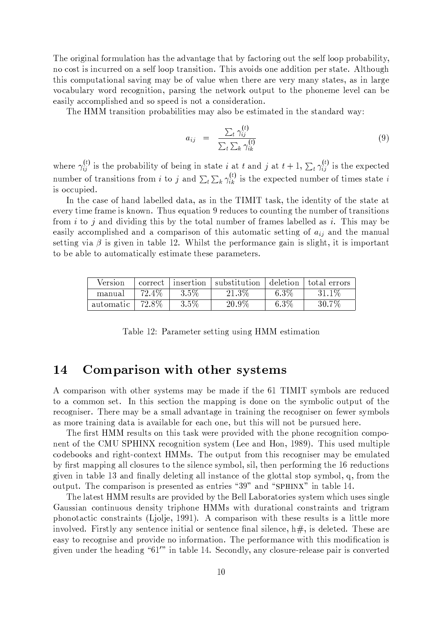The original formulation has the advantage that by factoring out the self loop probability, no cost is incurred on a self loop transition. This avoids one addition per state. Although this computational saving may be of value when there are very many states, as in large vocabulary word recognition, parsing the network output to the phoneme level can be easily accomplished and so speed is not a consideration.

The HMM transition probabilities may also be estimated in the standard way:

$$
a_{ij} = \frac{\sum_{t} \gamma_{ij}^{(t)}}{\sum_{t} \sum_{k} \gamma_{ik}^{(t)}} \tag{9}
$$

where  $\gamma_{ij}^{(t)}$  is the probability of being in state *i* at *t* and *j* at  $t + 1$ ,  $\sum_t \gamma_{ij}^{(t)}$  is the expected number of transitions from *i* to *j* and  $\sum_t \sum_k \gamma_{ik}^{(t)}$  is the expected number of times state *i* is occupied.

In the case of hand labelled data, as in the TIMIT task, the identity of the state at every time frame is known. Thus equation 9 reduces to counting the number of transitions from *i* to *j* and dividing this by the total number of frames labelled as *i*. This may be easily accomplished and a comparison of this automatic setting of  $a_{ij}$  and the manual setting via  $\beta$  is given in table 12. Whilst the performance gain is slight, it is important to be able to automatically estimate these parameters.

| Version   | correct |      | insertion substitution | deletion l | total errors |
|-----------|---------|------|------------------------|------------|--------------|
| manual    | 72.4\%  | 3.5% | 21.3%                  | $6.3\%$    | $31.1\%$     |
| automatic | 72.8%   | 3.5% | 20.9%                  | $6.3\%$    | 30.7%        |

Table 12: Parameter setting using HMM estimation

#### Comparison with other systems 14

A comparison with other systems may be made if the 61 TIMIT symbols are reduced to a common set. In this section the mapping is done on the symbolic output of the recogniser. There may be a small advantage in training the recogniser on fewer symbols as more training data is available for each one, but this will not be pursued here.

The first HMM results on this task were provided with the phone recognition component of the CMU SPHINX recognition system (Lee and Hon, 1989). This used multiple codebooks and right-context HMMs. The output from this recogniser may be emulated by first mapping all closures to the silence symbol, sil, then performing the 16 reductions given in table 13 and finally deleting all instance of the glottal stop symbol, q, from the output. The comparison is presented as entries "39" and "SPHINX" in table 14.

The latest HMM results are provided by the Bell Laboratories system which uses single Gaussian continuous density triphone HMMs with durational constraints and trigram phonotactic constraints (Liolie, 1991). A comparison with these results is a little more involved. Firstly any sentence initial or sentence final silence,  $h\#$ , is deleted. These are easy to recognise and provide no information. The performance with this modification is given under the heading "61" in table 14. Secondly, any closure-release pair is converted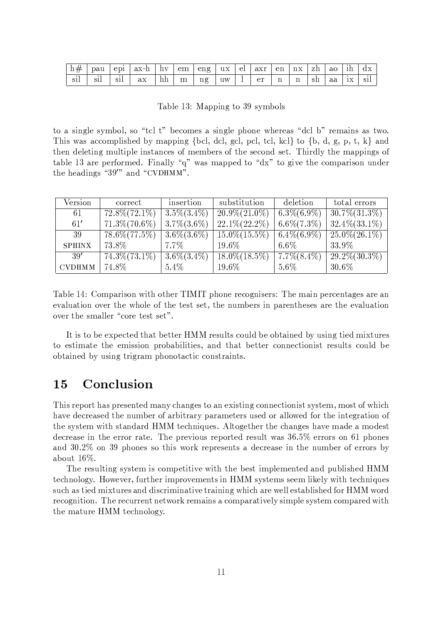| h#                  | pau                   | ep <sub>1</sub>        | ax-h | hv | em | $e$ n $e$ | ux | -e1 | axr | en | nx | zh | ao | 1h | dх                |
|---------------------|-----------------------|------------------------|------|----|----|-----------|----|-----|-----|----|----|----|----|----|-------------------|
| $^{\circ}$ .<br>S1l | $\bullet$<br>C1<br>oп | $\cdot$ $\cdot$<br>S11 | aх   | hh | m  | ng        | uw |     | er  | ᅩ  | n  | sh | aa | 1X | $^{\circ}$<br>S11 |

 $\mathbf{r}$  . The contract of  $\mathbf{r}$ 

the headings " $39''$  and "CVDHMM". to a single symbol, so "tcl t" becomes a single phone whereas "dcl b" remains as two. This was accomplished by mapping {bcl, dcl, gcl, pcl, tcl, kcl} to {b, d, g, p, t, k} and then deleting multiple instances of members of the second set. Thirdly the mappings of table 13 are performed. Finally " $a''$  was mapped to "dx" to give the comparison under

| Version       | correct          | insertion       | substitution        | deletion              | total errors     |
|---------------|------------------|-----------------|---------------------|-----------------------|------------------|
| 61            | $72.8\%(72.1\%)$ | $3.5\%(3.4\%)$  | $20.9\%(21.0\%)$    | $6.3\%(6.9\%)$        | $30.7\%(31.3\%)$ |
| 61'           | $71.3\%(70.6\%)$ | $3.7\% (3.6\%)$ | $22.1\%$ $(22.2\%)$ | $6.6\%(7.3\%)$        | $32.4\%(33.1\%)$ |
| 39            | $78.6\%(77.5\%)$ | $3.6\%(3.6\%)$  | $15.0\%(15.5\%)$    | $6.4\%(6.9\%)$        | $25.0\%(26.1\%)$ |
| <b>SPHINX</b> | 73.8%            | 7.7%            | 19.6%               | $6.6\%$               | 33.9%            |
| 39'           | $74.3\%(73.1\%)$ | $3.6\%(3.4\%)$  | $18.0\%(18.5\%)$    | $\sqrt{7.7\%}(8.4\%)$ | $29.2\%(30.3\%)$ |
| <b>CVDHMM</b> | 74.8%            | $5.4\%$         | 19.6%               | $5.6\%$               | 30.6%            |

Table 14: Comparison with other TIMIT phone recognisers: The main percentages are an evaluation over the whole of the test set, the numbers in parentheses are the evaluation over the smaller "core test set".  $\;\;\;$ 

It is to be expected that better HMM results could be obtained by using tied mixtures to estimate the emission probabilities, and that better connectionist results could be obtained by using trigram phonotactic constraints.

### 15 Conclusion

This report has presented many changes to an existing connectionist system, most of which have decreased the number of arbitrary parameters used or allowed for the integration of the system with standard HMM techniques. Altogether the changes have made a modest decrease in the error rate. The previous reported result was  $36.5\%$  errors on 61 phones and 30.2% on 39 phones so this work represents a decrease in the number of errors by about  $16\%$ .

The resulting system is competitive with the best implemented and published HMM technology. However, further improvements in HMM systems seem likely with techniques such as tied mixtures and discriminative training which are well established for HMM word recognition. The recurrent network remains a comparatively simple system compared with the mature HMM technology.  $\;$  -